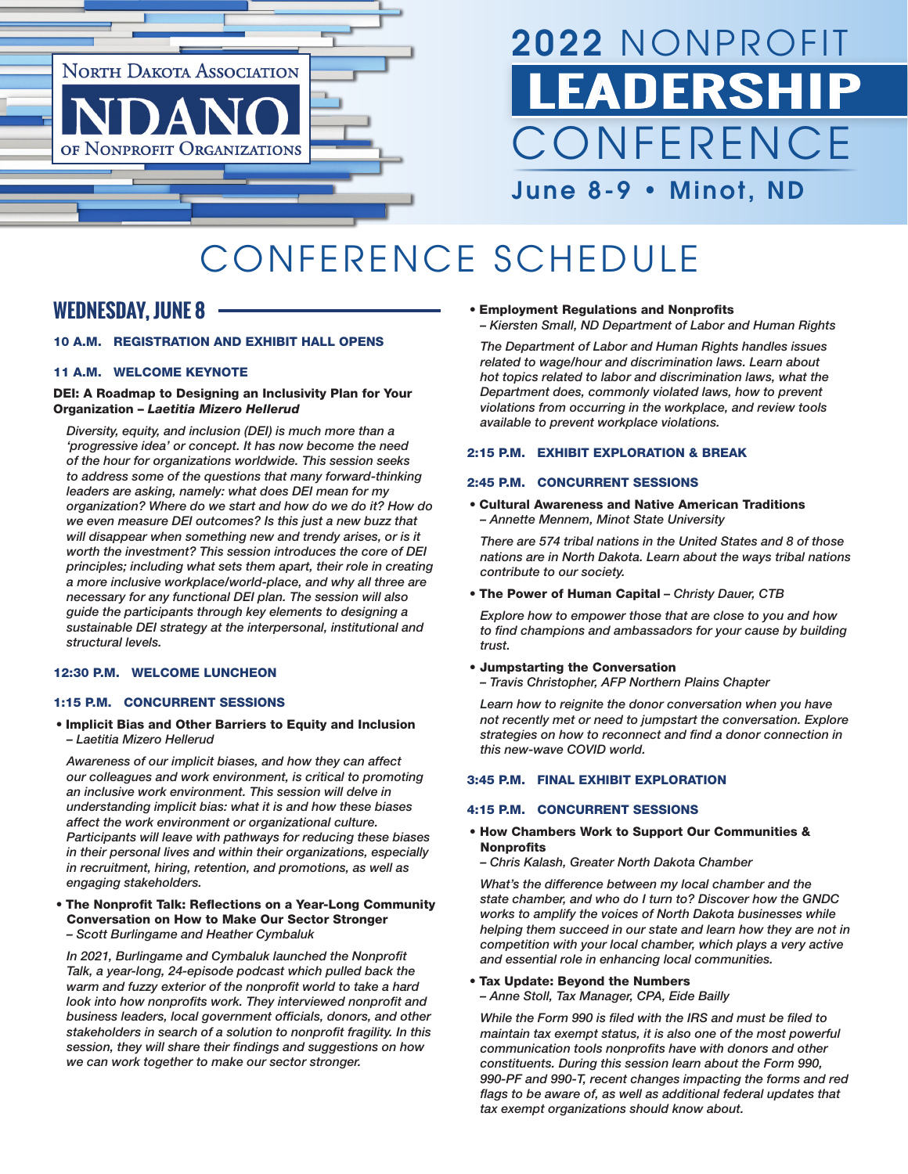

# 2022 NONPROFIT **LEADERSH CONFERENCE** June 8-9 • Minot, ND

# CONFERENCE SCHEDULE

# **WEDNESDAY, JUNE 8**

# 10 A.M. REGISTRATION AND EXHIBIT HALL OPENS

# 11 A.M. WELCOME KEYNOTE

# DEI: A Roadmap to Designing an Inclusivity Plan for Your Organization – *Laetitia Mizero Hellerud*

*Diversity, equity, and inclusion (DEI) is much more than a 'progressive idea' or concept. It has now become the need of the hour for organizations worldwide. This session seeks to address some of the questions that many forward-thinking leaders are asking, namely: what does DEI mean for my organization? Where do we start and how do we do it? How do we even measure DEI outcomes? Is this just a new buzz that will disappear when something new and trendy arises, or is it worth the investment? This session introduces the core of DEI principles; including what sets them apart, their role in creating a more inclusive workplace/world-place, and why all three are necessary for any functional DEI plan. The session will also guide the participants through key elements to designing a sustainable DEI strategy at the interpersonal, institutional and structural levels.*

# 12:30 P.M. WELCOME LUNCHEON

# 1:15 P.M. CONCURRENT SESSIONS

• Implicit Bias and Other Barriers to Equity and Inclusion *– Laetitia Mizero Hellerud*

*Awareness of our implicit biases, and how they can affect our colleagues and work environment, is critical to promoting an inclusive work environment. This session will delve in understanding implicit bias: what it is and how these biases affect the work environment or organizational culture. Participants will leave with pathways for reducing these biases in their personal lives and within their organizations, especially in recruitment, hiring, retention, and promotions, as well as engaging stakeholders.*

- The Nonprofit Talk: Reflections on a Year-Long Community Conversation on How to Make Our Sector Stronger
- *Scott Burlingame and Heather Cymbaluk*

*In 2021, Burlingame and Cymbaluk launched the Nonprofit Talk, a year-long, 24-episode podcast which pulled back the warm and fuzzy exterior of the nonprofit world to take a hard look into how nonprofits work. They interviewed nonprofit and business leaders, local government officials, donors, and other stakeholders in search of a solution to nonprofit fragility. In this session, they will share their findings and suggestions on how we can work together to make our sector stronger.* 

- Employment Regulations and Nonprofits
- *Kiersten Small, ND Department of Labor and Human Rights*

*The Department of Labor and Human Rights handles issues related to wage/hour and discrimination laws. Learn about hot topics related to labor and discrimination laws, what the Department does, commonly violated laws, how to prevent violations from occurring in the workplace, and review tools available to prevent workplace violations.*

## 2:15 P.M. EXHIBIT EXPLORATION & BREAK

# 2:45 P.M. CONCURRENT SESSIONS

• Cultural Awareness and Native American Traditions *– Annette Mennem, Minot State University*

*There are 574 tribal nations in the United States and 8 of those nations are in North Dakota. Learn about the ways tribal nations contribute to our society.*

• The Power of Human Capital *– Christy Dauer, CTB*

*Explore how to empower those that are close to you and how to find champions and ambassadors for your cause by building trust.*

#### • Jumpstarting the Conversation

*– Travis Christopher, AFP Northern Plains Chapter*

*Learn how to reignite the donor conversation when you have not recently met or need to jumpstart the conversation. Explore strategies on how to reconnect and find a donor connection in this new-wave COVID world.*

# 3:45 P.M. FINAL EXHIBIT EXPLORATION

#### 4:15 P.M. CONCURRENT SESSIONS

## • How Chambers Work to Support Our Communities & Nonprofits

*– Chris Kalash, Greater North Dakota Chamber*

*What's the difference between my local chamber and the state chamber, and who do I turn to? Discover how the GNDC works to amplify the voices of North Dakota businesses while helping them succeed in our state and learn how they are not in competition with your local chamber, which plays a very active and essential role in enhancing local communities.*

#### • Tax Update: Beyond the Numbers *– Anne Stoll, Tax Manager, CPA, Eide Bailly*

*While the Form 990 is filed with the IRS and must be filed to maintain tax exempt status, it is also one of the most powerful communication tools nonprofits have with donors and other constituents. During this session learn about the Form 990, 990-PF and 990-T, recent changes impacting the forms and red flags to be aware of, as well as additional federal updates that tax exempt organizations should know about.*